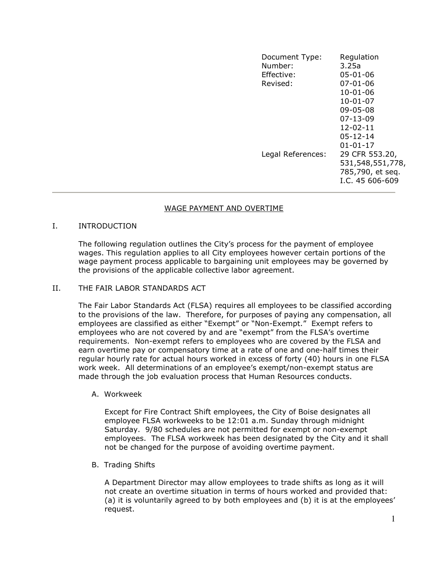| Document Type:<br>Number:<br>Effective:<br>Revised: | Regulation<br>3.25a<br>$05 - 01 - 06$<br>$07 - 01 - 06$<br>$10 - 01 - 06$<br>$10 - 01 - 07$<br>$09 - 05 - 08$<br>$07 - 13 - 09$<br>$12 - 02 - 11$<br>$05 - 12 - 14$<br>$01 - 01 - 17$ |
|-----------------------------------------------------|---------------------------------------------------------------------------------------------------------------------------------------------------------------------------------------|
| Legal References:                                   | 29 CFR 553.20,<br>531, 548, 551, 778,<br>785,790, et seq.<br>I.C. 45 606-609                                                                                                          |

#### WAGE PAYMENT AND OVERTIME

#### I. INTRODUCTION

The following regulation outlines the City's process for the payment of employee wages. This regulation applies to all City employees however certain portions of the wage payment process applicable to bargaining unit employees may be governed by the provisions of the applicable collective labor agreement.

#### II. THE FAIR LABOR STANDARDS ACT

The Fair Labor Standards Act (FLSA) requires all employees to be classified according to the provisions of the law. Therefore, for purposes of paying any compensation, all employees are classified as either "Exempt" or "Non-Exempt." Exempt refers to employees who are not covered by and are "exempt" from the FLSA's overtime requirements. Non-exempt refers to employees who are covered by the FLSA and earn overtime pay or compensatory time at a rate of one and one-half times their regular hourly rate for actual hours worked in excess of forty (40) hours in one FLSA work week. All determinations of an employee's exempt/non-exempt status are made through the job evaluation process that Human Resources conducts.

A. Workweek

Except for Fire Contract Shift employees, the City of Boise designates all employee FLSA workweeks to be 12:01 a.m. Sunday through midnight Saturday. 9/80 schedules are not permitted for exempt or non-exempt employees. The FLSA workweek has been designated by the City and it shall not be changed for the purpose of avoiding overtime payment.

B. Trading Shifts

A Department Director may allow employees to trade shifts as long as it will not create an overtime situation in terms of hours worked and provided that: (a) it is voluntarily agreed to by both employees and (b) it is at the employees' request.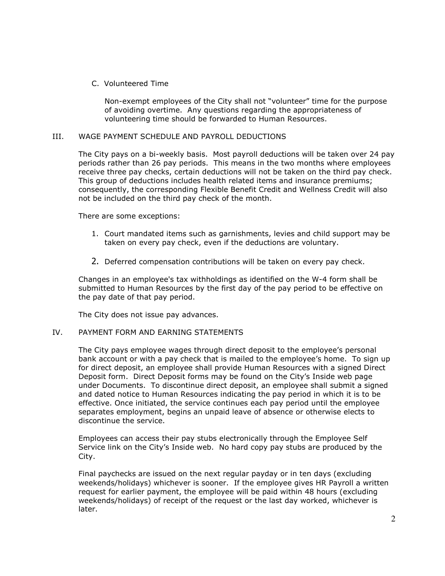## C. Volunteered Time

Non-exempt employees of the City shall not "volunteer" time for the purpose of avoiding overtime. Any questions regarding the appropriateness of volunteering time should be forwarded to Human Resources.

## III. WAGE PAYMENT SCHEDULE AND PAYROLL DEDUCTIONS

The City pays on a bi-weekly basis. Most payroll deductions will be taken over 24 pay periods rather than 26 pay periods. This means in the two months where employees receive three pay checks, certain deductions will not be taken on the third pay check. This group of deductions includes health related items and insurance premiums; consequently, the corresponding Flexible Benefit Credit and Wellness Credit will also not be included on the third pay check of the month.

There are some exceptions:

- 1. Court mandated items such as garnishments, levies and child support may be taken on every pay check, even if the deductions are voluntary.
- 2. Deferred compensation contributions will be taken on every pay check.

Changes in an employee's tax withholdings as identified on the W-4 form shall be submitted to Human Resources by the first day of the pay period to be effective on the pay date of that pay period.

The City does not issue pay advances.

## IV. PAYMENT FORM AND EARNING STATEMENTS

The City pays employee wages through direct deposit to the employee's personal bank account or with a pay check that is mailed to the employee's home. To sign up for direct deposit, an employee shall provide Human Resources with a signed Direct Deposit form. Direct Deposit forms may be found on the City's Inside web page under Documents. To discontinue direct deposit, an employee shall submit a signed and dated notice to Human Resources indicating the pay period in which it is to be effective. Once initiated, the service continues each pay period until the employee separates employment, begins an unpaid leave of absence or otherwise elects to discontinue the service.

Employees can access their pay stubs electronically through the Employee Self Service link on the City's Inside web. No hard copy pay stubs are produced by the City.

Final paychecks are issued on the next regular payday or in ten days (excluding weekends/holidays) whichever is sooner. If the employee gives HR Payroll a written request for earlier payment, the employee will be paid within 48 hours (excluding weekends/holidays) of receipt of the request or the last day worked, whichever is later.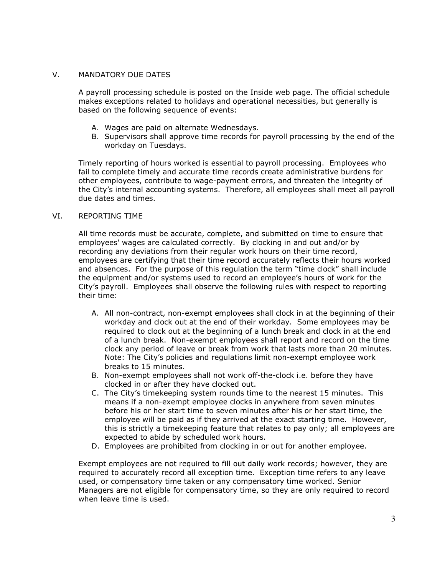## V. MANDATORY DUE DATES

A payroll processing schedule is posted on the Inside web page. The official schedule makes exceptions related to holidays and operational necessities, but generally is based on the following sequence of events:

- A. Wages are paid on alternate Wednesdays.
- B. Supervisors shall approve time records for payroll processing by the end of the workday on Tuesdays.

Timely reporting of hours worked is essential to payroll processing. Employees who fail to complete timely and accurate time records create administrative burdens for other employees, contribute to wage-payment errors, and threaten the integrity of the City's internal accounting systems. Therefore, all employees shall meet all payroll due dates and times.

# VI. REPORTING TIME

All time records must be accurate, complete, and submitted on time to ensure that employees' wages are calculated correctly. By clocking in and out and/or by recording any deviations from their regular work hours on their time record, employees are certifying that their time record accurately reflects their hours worked and absences. For the purpose of this regulation the term "time clock" shall include the equipment and/or systems used to record an employee's hours of work for the City's payroll. Employees shall observe the following rules with respect to reporting their time:

- A. All non-contract, non-exempt employees shall clock in at the beginning of their workday and clock out at the end of their workday. Some employees may be required to clock out at the beginning of a lunch break and clock in at the end of a lunch break. Non-exempt employees shall report and record on the time clock any period of leave or break from work that lasts more than 20 minutes. Note: The City's policies and regulations limit non-exempt employee work breaks to 15 minutes.
- B. Non-exempt employees shall not work off-the-clock i.e. before they have clocked in or after they have clocked out.
- C. The City's timekeeping system rounds time to the nearest 15 minutes. This means if a non-exempt employee clocks in anywhere from seven minutes before his or her start time to seven minutes after his or her start time, the employee will be paid as if they arrived at the exact starting time. However, this is strictly a timekeeping feature that relates to pay only; all employees are expected to abide by scheduled work hours.
- D. Employees are prohibited from clocking in or out for another employee.

Exempt employees are not required to fill out daily work records; however, they are required to accurately record all exception time. Exception time refers to any leave used, or compensatory time taken or any compensatory time worked. Senior Managers are not eligible for compensatory time, so they are only required to record when leave time is used.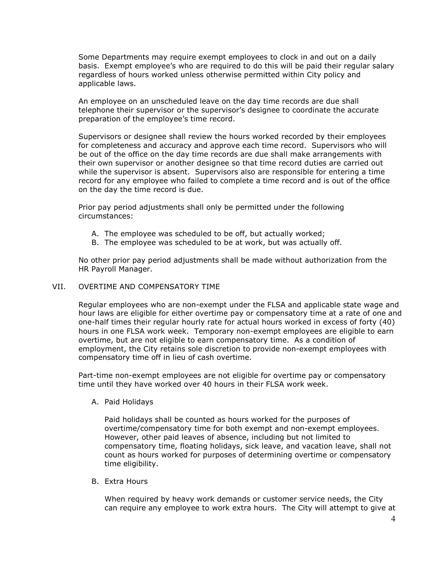Some Departments may require exempt employees to clock in and out on a daily basis. Exempt employee's who are required to do this will be paid their regular salary regardless of hours worked unless otherwise permitted within City policy and applicable laws.

An employee on an unscheduled leave on the day time records are due shall telephone their supervisor or the supervisor's designee to coordinate the accurate preparation of the employee's time record.

Supervisors or designee shall review the hours worked recorded by their employees for completeness and accuracy and approve each time record. Supervisors who will be out of the office on the day time records are due shall make arrangements with their own supervisor or another designee so that time record duties are carried out while the supervisor is absent. Supervisors also are responsible for entering a time record for any employee who failed to complete a time record and is out of the office on the day the time record is due.

Prior pay period adjustments shall only be permitted under the following circumstances:

- A. The employee was scheduled to be off, but actually worked;
- B. The employee was scheduled to be at work, but was actually off.

No other prior pay period adjustments shall be made without authorization from the HR Payroll Manager.

#### VII. OVERTIME AND COMPENSATORY TIME

Regular employees who are non-exempt under the FLSA and applicable state wage and hour laws are eligible for either overtime pay or compensatory time at a rate of one and one-half times their regular hourly rate for actual hours worked in excess of forty (40) hours in one FLSA work week. Temporary non-exempt employees are eligible to earn overtime, but are not eligible to earn compensatory time. As a condition of employment, the City retains sole discretion to provide non-exempt employees with compensatory time off in lieu of cash overtime.

Part-time non-exempt employees are not eligible for overtime pay or compensatory time until they have worked over 40 hours in their FLSA work week.

A. Paid Holidays

Paid holidays shall be counted as hours worked for the purposes of overtime/compensatory time for both exempt and non-exempt employees. However, other paid leaves of absence, including but not limited to compensatory time, floating holidays, sick leave, and vacation leave, shall not count as hours worked for purposes of determining overtime or compensatory time eligibility.

B. Extra Hours

When required by heavy work demands or customer service needs, the City can require any employee to work extra hours. The City will attempt to give at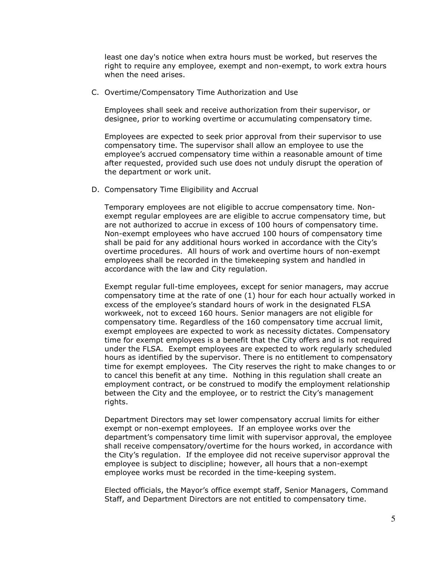least one day's notice when extra hours must be worked, but reserves the right to require any employee, exempt and non-exempt, to work extra hours when the need arises.

C. Overtime/Compensatory Time Authorization and Use

Employees shall seek and receive authorization from their supervisor, or designee, prior to working overtime or accumulating compensatory time.

Employees are expected to seek prior approval from their supervisor to use compensatory time. The supervisor shall allow an employee to use the employee's accrued compensatory time within a reasonable amount of time after requested, provided such use does not unduly disrupt the operation of the department or work unit.

D. Compensatory Time Eligibility and Accrual

Temporary employees are not eligible to accrue compensatory time. Nonexempt regular employees are are eligible to accrue compensatory time, but are not authorized to accrue in excess of 100 hours of compensatory time. Non-exempt employees who have accrued 100 hours of compensatory time shall be paid for any additional hours worked in accordance with the City's overtime procedures. All hours of work and overtime hours of non-exempt employees shall be recorded in the timekeeping system and handled in accordance with the law and City regulation.

Exempt regular full-time employees, except for senior managers, may accrue compensatory time at the rate of one (1) hour for each hour actually worked in excess of the employee's standard hours of work in the designated FLSA workweek, not to exceed 160 hours. Senior managers are not eligible for compensatory time. Regardless of the 160 compensatory time accrual limit, exempt employees are expected to work as necessity dictates. Compensatory time for exempt employees is a benefit that the City offers and is not required under the FLSA. Exempt employees are expected to work regularly scheduled hours as identified by the supervisor. There is no entitlement to compensatory time for exempt employees. The City reserves the right to make changes to or to cancel this benefit at any time. Nothing in this regulation shall create an employment contract, or be construed to modify the employment relationship between the City and the employee, or to restrict the City's management rights.

Department Directors may set lower compensatory accrual limits for either exempt or non-exempt employees. If an employee works over the department's compensatory time limit with supervisor approval, the employee shall receive compensatory/overtime for the hours worked, in accordance with the City's regulation. If the employee did not receive supervisor approval the employee is subject to discipline; however, all hours that a non-exempt employee works must be recorded in the time-keeping system.

Elected officials, the Mayor's office exempt staff, Senior Managers, Command Staff, and Department Directors are not entitled to compensatory time.